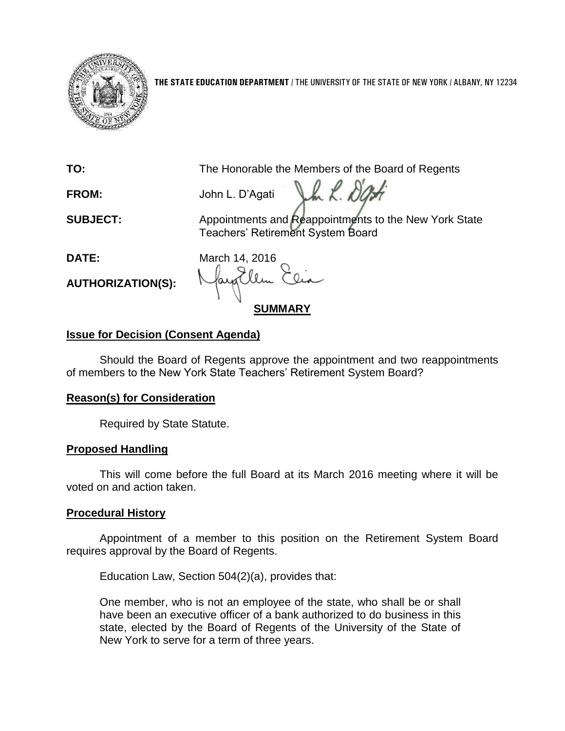

**THE STATE EDUCATION DEPARTMENT** / THE UNIVERSITY OF THE STATE OF NEW YORK / ALBANY, NY 12234

**TO:** The Honorable the Members of the Board of Regents

Jh L. Dati **FROM:** John L. D'Agati

**SUBJECT:** Appointments and Reappointments to the New York State Teachers' Retirement System Board

**AUTHORIZATION(S):**

**DATE:** March 14, 2016 **SUMMARY**

# **Issue for Decision (Consent Agenda)**

Should the Board of Regents approve the appointment and two reappointments of members to the New York State Teachers' Retirement System Board?

# **Reason(s) for Consideration**

Required by State Statute.

## **Proposed Handling**

This will come before the full Board at its March 2016 meeting where it will be voted on and action taken.

# **Procedural History**

Appointment of a member to this position on the Retirement System Board requires approval by the Board of Regents.

Education Law, Section 504(2)(a), provides that:

One member, who is not an employee of the state, who shall be or shall have been an executive officer of a bank authorized to do business in this state, elected by the Board of Regents of the University of the State of New York to serve for a term of three years.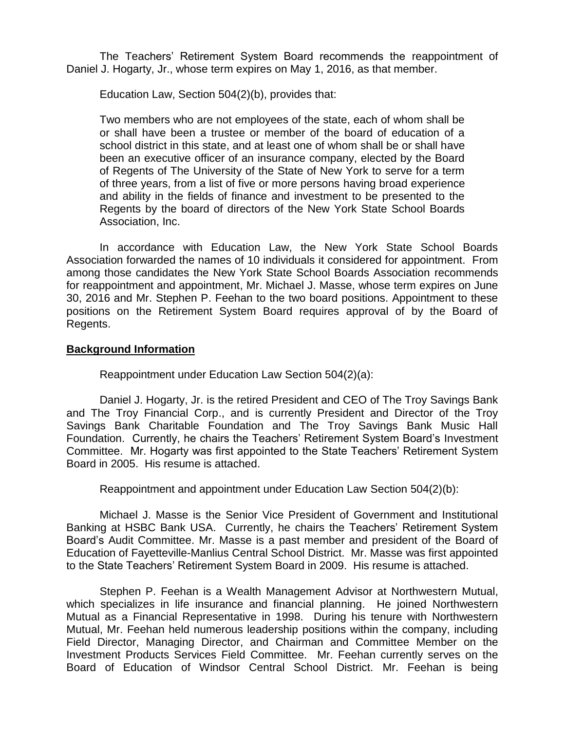The Teachers' Retirement System Board recommends the reappointment of Daniel J. Hogarty, Jr., whose term expires on May 1, 2016, as that member.

Education Law, Section 504(2)(b), provides that:

Two members who are not employees of the state, each of whom shall be or shall have been a trustee or member of the board of education of a school district in this state, and at least one of whom shall be or shall have been an executive officer of an insurance company, elected by the Board of Regents of The University of the State of New York to serve for a term of three years, from a list of five or more persons having broad experience and ability in the fields of finance and investment to be presented to the Regents by the board of directors of the New York State School Boards Association, Inc.

In accordance with Education Law, the New York State School Boards Association forwarded the names of 10 individuals it considered for appointment. From among those candidates the New York State School Boards Association recommends for reappointment and appointment, Mr. Michael J. Masse, whose term expires on June 30, 2016 and Mr. Stephen P. Feehan to the two board positions. Appointment to these positions on the Retirement System Board requires approval of by the Board of Regents.

## **Background Information**

Reappointment under Education Law Section 504(2)(a):

Daniel J. Hogarty, Jr. is the retired President and CEO of The Troy Savings Bank and The Troy Financial Corp., and is currently President and Director of the Troy Savings Bank Charitable Foundation and The Troy Savings Bank Music Hall Foundation. Currently, he chairs the Teachers' Retirement System Board's Investment Committee. Mr. Hogarty was first appointed to the State Teachers' Retirement System Board in 2005. His resume is attached.

Reappointment and appointment under Education Law Section 504(2)(b):

Michael J. Masse is the Senior Vice President of Government and Institutional Banking at HSBC Bank USA. Currently, he chairs the Teachers' Retirement System Board's Audit Committee. Mr. Masse is a past member and president of the Board of Education of Fayetteville-Manlius Central School District. Mr. Masse was first appointed to the State Teachers' Retirement System Board in 2009. His resume is attached.

Stephen P. Feehan is a Wealth Management Advisor at Northwestern Mutual, which specializes in life insurance and financial planning. He joined Northwestern Mutual as a Financial Representative in 1998. During his tenure with Northwestern Mutual, Mr. Feehan held numerous leadership positions within the company, including Field Director, Managing Director, and Chairman and Committee Member on the Investment Products Services Field Committee. Mr. Feehan currently serves on the Board of Education of Windsor Central School District. Mr. Feehan is being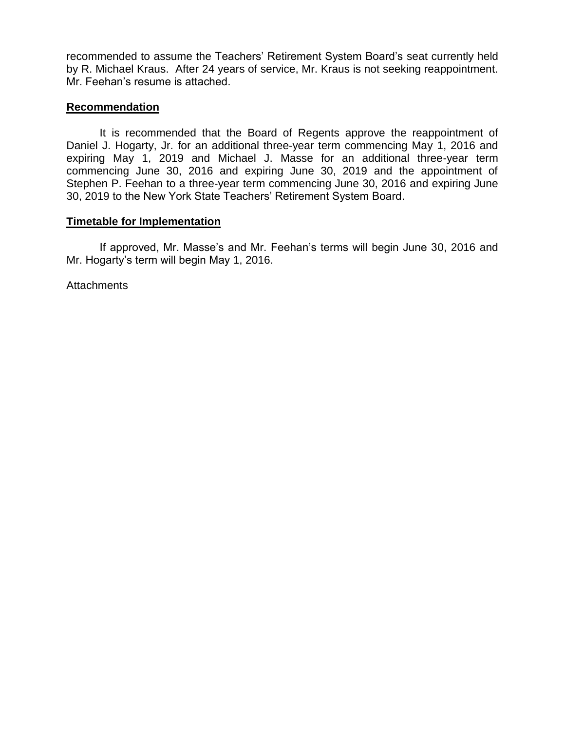recommended to assume the Teachers' Retirement System Board's seat currently held by R. Michael Kraus. After 24 years of service, Mr. Kraus is not seeking reappointment. Mr. Feehan's resume is attached.

## **Recommendation**

It is recommended that the Board of Regents approve the reappointment of Daniel J. Hogarty, Jr. for an additional three-year term commencing May 1, 2016 and expiring May 1, 2019 and Michael J. Masse for an additional three-year term commencing June 30, 2016 and expiring June 30, 2019 and the appointment of Stephen P. Feehan to a three-year term commencing June 30, 2016 and expiring June 30, 2019 to the New York State Teachers' Retirement System Board.

## **Timetable for Implementation**

If approved, Mr. Masse's and Mr. Feehan's terms will begin June 30, 2016 and Mr. Hogarty's term will begin May 1, 2016.

**Attachments**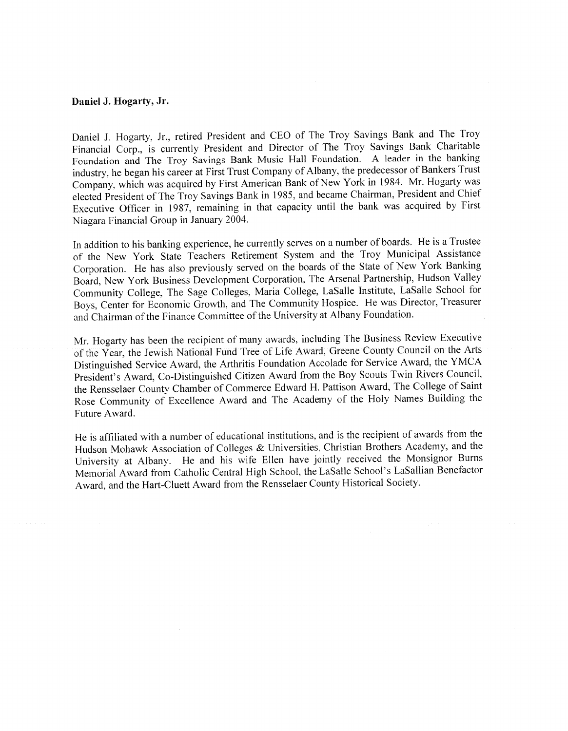### Daniel J. Hogarty, Jr.

Daniel J. Hogarty, Jr., retired President and CEO of The Troy Savings Bank and The Troy Financial Corp., is currently President and Director of The Troy Savings Bank Charitable Foundation and The Troy Savings Bank Music Hall Foundation. A leader in the banking industry, he began his career at First Trust Company of Albany, the predecessor of Bankers Trust Company, which was acquired by First American Bank of New York in 1984. Mr. Hogarty was elected President of The Troy Savings Bank in 1985, and became Chairman, President and Chief Executive Officer in 1987, remaining in that capacity until the bank was acquired by First Niagara Financial Group in January 2004.

In addition to his banking experience, he currently serves on a number of boards. He is a Trustee of the New York State Teachers Retirement System and the Troy Municipal Assistance Corporation. He has also previously served on the boards of the State of New York Banking Board, New York Business Development Corporation, The Arsenal Partnership, Hudson Valley Community College, The Sage Colleges, Maria College, LaSalle Institute, LaSalle School for Boys, Center for Economic Growth, and The Community Hospice. He was Director, Treasurer and Chairman of the Finance Committee of the University at Albany Foundation.

Mr. Hogarty has been the recipient of many awards, including The Business Review Executive of the Year, the Jewish National Fund Tree of Life Award, Greene County Council on the Arts Distinguished Service Award, the Arthritis Foundation Accolade for Service Award, the YMCA President's Award, Co-Distinguished Citizen Award from the Boy Scouts Twin Rivers Council, the Rensselaer County Chamber of Commerce Edward H. Pattison Award, The College of Saint Rose Community of Excellence Award and The Academy of the Holy Names Building the Future Award.

He is affiliated with a number of educational institutions, and is the recipient of awards from the Hudson Mohawk Association of Colleges & Universities, Christian Brothers Academy, and the University at Albany. He and his wife Ellen have jointly received the Monsignor Burns Memorial Award from Catholic Central High School, the LaSalle School's LaSallian Benefactor Award, and the Hart-Cluett Award from the Rensselaer County Historical Society.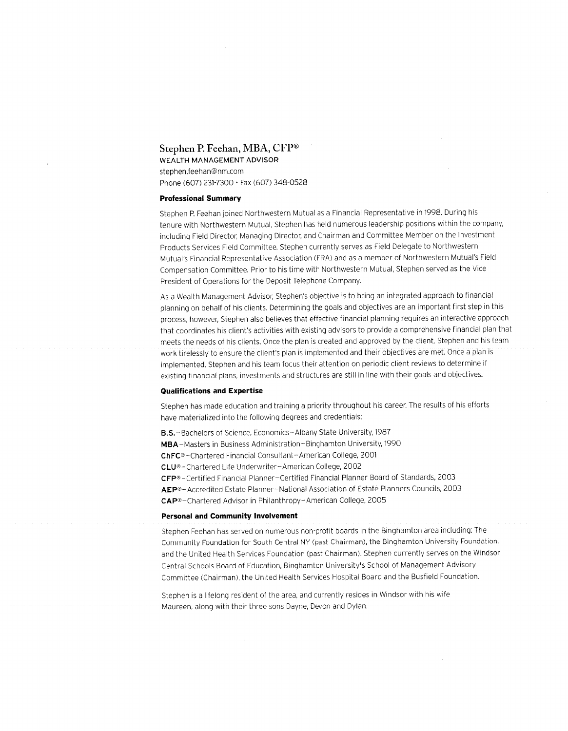## Stephen P. Feehan, MBA, CFP® WEALTH MANAGEMENT ADVISOR

stephen.feehan@nm.com Phone (607) 231-7300 · Fax (607) 348-0528

#### **Professional Summary**

Stephen P. Feehan joined Northwestern Mutual as a Financial Representative in 1998. During his tenure with Northwestern Mutual, Stephen has held numerous leadership positions within the company, including Field Director, Managing Director, and Chairman and Committee Member on the Investment Products Services Field Committee. Stephen currently serves as Field Delegate to Northwestern Mutual's Financial Representative Association (FRA) and as a member of Northwestern Mutual's Field Compensation Committee. Prior to his time with Northwestern Mutual, Stephen served as the Vice President of Operations for the Deposit Telephone Company.

As a Wealth Management Advisor, Stephen's objective is to bring an integrated approach to financial planning on behalf of his clients. Determining the goals and objectives are an important first step in this process, however, Stephen also believes that effective financial planning requires an interactive approach that coordinates his client's activities with existing advisors to provide a comprehensive financial plan that meets the needs of his clients. Once the plan is created and approved by the client, Stephen and his team work tirelessly to ensure the client's plan is implemented and their objectives are met. Once a plan is implemented, Stephen and his team focus their attention on periodic client reviews to determine if existing financial plans, investments and structures are still in line with their goals and objectives.

#### **Qualifications and Expertise**

Stephen has made education and training a priority throughout his career. The results of his efforts have materialized into the following degrees and credentials:

B.S. - Bachelors of Science, Economics - Albany State University, 1987 MBA-Masters in Business Administration-Binghamton University, 1990 ChFC®-Chartered Financial Consultant-American College, 2001 CLU®-Chartered Life Underwriter-American College, 2002 CFP®-Certified Financial Planner-Certified Financial Planner Board of Standards, 2003 AEP®-Accredited Estate Planner-National Association of Estate Planners Councils, 2003 CAP®-Chartered Advisor in Philanthropy-American College, 2005

#### **Personal and Community Involvement**

Stephen Feehan has served on numerous non-profit boards in the Binghamton area including: The Community Foundation for South Central NY (past Chairman), the Binghamton University Foundation, and the United Health Services Foundation (past Chairman). Stephen currently serves on the Windsor Central Schools Board of Education, Binghamton University's School of Management Advisory Committee (Chairman), the United Health Services Hospital Board and the Busfield Foundation.

Stephen is a lifelong resident of the area, and currently resides in Windsor with his wife Maureen, along with their three sons Dayne, Devon and Dylan.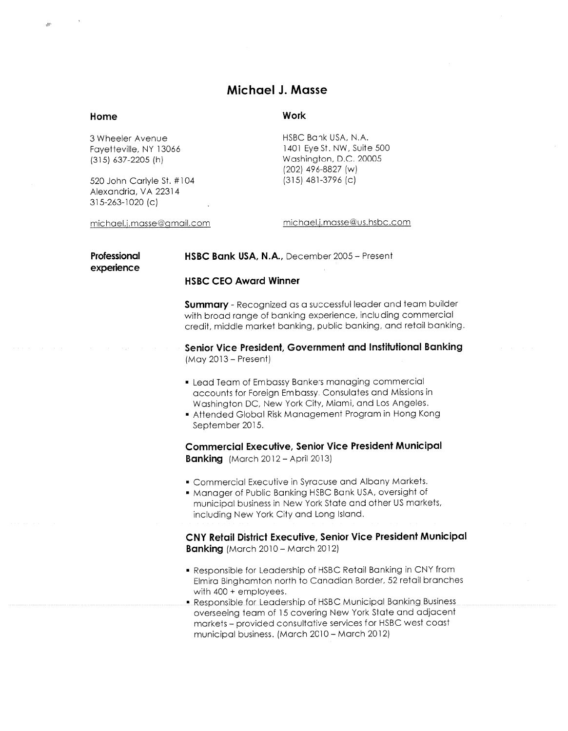## Michael J. Masse

## Home

### Work

3 Wheeler Avenue Favetteville, NY 13066  $(315)$  637-2205 (h)

520 John Carlyle St. #104 Alexandria, VA 22314  $315 - 263 - 1020$  (c)

michael.j.masse@gmail.com

HSBC Bank USA, N.A. 1401 Eve St. NW, Suite 500 Washington, D.C. 20005 (202) 496-8827 (w)  $(315)$  481-3796 (c)

michael.j.masse@us.hsbc.com

Professional experience HSBC Bank USA, N.A., December 2005 - Present

### **HSBC CEO Award Winner**

**Summary** - Recognized as a successful leader and team builder with broad range of banking experience, including commercial credit, middle market banking, public banking, and retail banking.

Senior Vice President, Government and Institutional Banking  $(Mav 2013 - Present)$ 

- Lead Team of Embassy Bankers managing commercial accounts for Foreign Embassy, Consulates and Missions in Washington DC, New York City, Miami, and Los Angeles.
- Attended Global Risk Management Program in Hong Kong September 2015.

**Commercial Executive, Senior Vice President Municipal Banking** (March  $2012 -$  April 2013)

- Commercial Executive in Syracuse and Albany Markets.
- Manager of Public Banking HSBC Bank USA, oversight of municipal business in New York State and other US markets, including New York City and Long Island.

CNY Retail District Executive, Senior Vice President Municipal **Banking** (March 2010 - March 2012)

- Responsible for Leadership of HSBC Retail Banking in CNY from Elmira Binghamton north to Canadian Border, 52 retail branches with  $400 +$  employees.
- **Responsible for Leadership of HSBC Municipal Banking Business** overseeing team of 15 covering New York State and adjacent markets - provided consultative services for HSBC west coast municipal business. (March 2010 - March 2012)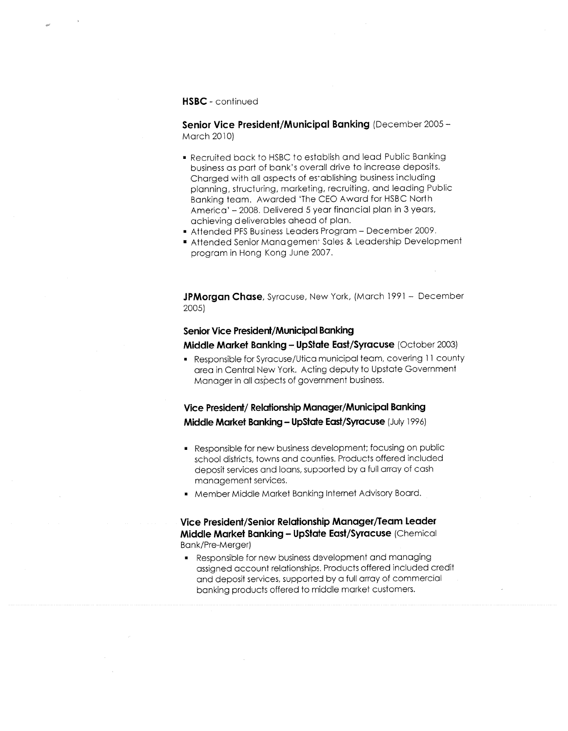### HSBC - continued

Senior Vice President/Municipal Banking (December 2005 -March 2010)

- Recruited back to HSBC to establish and lead Public Bankina business as part of bank's overall drive to increase deposits. Charaed with all aspects of establishing business including planning, structuring, marketing, recruiting, and leading Public Banking team. Awarded 'The CEO Award for HSBC North America' - 2008. Delivered 5 year financial plan in 3 years, achieving deliverables ahead of plan.
- Attended PFS Business Leaders Program December 2009.
- Attended Senior Management Sales & Leadership Development program in Hong Kong June 2007.

**JPMorgan Chase**, Syracuse, New York, (March 1991 - December 2005)

### **Senior Vice President/Municipal Banking**

Middle Market Banking - UpState East/Syracuse (October 2003)

Responsible for Syracuse/Utica municipal team, covering 11 county area in Central New York. Acting deputy to Upstate Government Manager in all aspects of government business.

Vice President/ Relationship Manager/Municipal Banking Middle Market Banking - UpState East/Syracuse (July 1996)

- Responsible for new business development; focusing on public school districts, towns and counties. Products offered included deposit services and loans, supported by a full array of cash management services.
- " Member Middle Market Banking Internet Advisory Board.

## Vice President/Senior Relationship Manager/Team Leader Middle Market Banking - UpState East/Syracuse (Chemical Bank/Pre-Merger)

• Responsible for new business development and managing assigned account relationships. Products offered included credit and deposit services, supported by a full array of commercial banking products offered to middle market customers.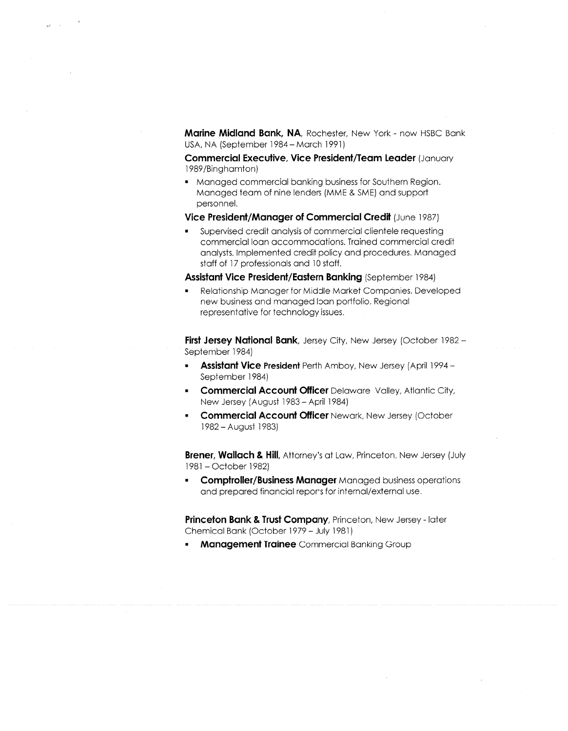Marine Midland Bank, NA, Rochester, New York - now HSBC Bank USA, NA (September 1984 – March 1991)

Commercial Executive, Vice President/Team Leader (January 1989/Binghamton)

• Managed commercial banking business for Southern Region. Managed team of nine lenders (MME & SME) and support personnel.

Vice President/Manager of Commercial Credit (June 1987)

Supervised credit analysis of commercial clientele requesting commercial loan accommodations. Trained commercial credit analysts. Implemented credit policy and procedures. Managed staff of 17 professionals and 10 staff.

Assistant Vice President/Eastern Banking (September 1984)

Relationship Manager for Middle Market Companies. Developed new business and managed loan portfolio. Regional representative for technology issues.

First Jersey National Bank, Jersey City, New Jersey (October 1982 -September 1984)

- **Assistant Vice President Perth Amboy, New Jersey (April 1994 -**September 1984)
- **Commercial Account Officer Delaware Valley, Atlantic City,** New Jersey (August 1983 - April 1984)
- **Commercial Account Officer Newark, New Jersey (October**  $\blacksquare$ 1982 - August 1983)

**Brener, Wallach & Hill, Attorney's at Law, Princeton, New Jersey (July** 1981 - October 1982)

**Comptroller/Business Manager Managed business operations** and prepared financial reports for internal/external use.

Princeton Bank & Trust Company, Princeton, New Jersey - later Chemical Bank (October 1979 - July 1981)

**Management Trainee** Commercial Banking Group